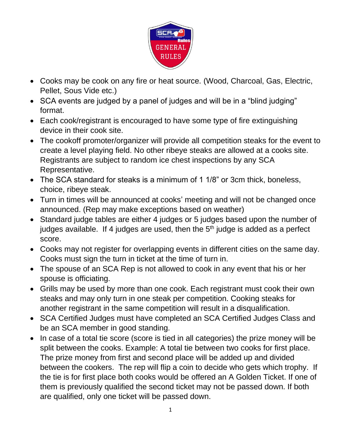

- Cooks may be cook on any fire or heat source. (Wood, Charcoal, Gas, Electric, Pellet, Sous Vide etc.)
- SCA events are judged by a panel of judges and will be in a "blind judging" format.
- Each cook/registrant is encouraged to have some type of fire extinguishing device in their cook site.
- The cookoff promoter/organizer will provide all competition steaks for the event to create a level playing field. No other ribeye steaks are allowed at a cooks site. Registrants are subject to random ice chest inspections by any SCA Representative.
- The SCA standard for steaks is a minimum of 1 1/8" or 3cm thick, boneless, choice, ribeye steak.
- Turn in times will be announced at cooks' meeting and will not be changed once announced. (Rep may make exceptions based on weather)
- Standard judge tables are either 4 judges or 5 judges based upon the number of judges available. If 4 judges are used, then the  $5<sup>th</sup>$  judge is added as a perfect score.
- Cooks may not register for overlapping events in different cities on the same day. Cooks must sign the turn in ticket at the time of turn in.
- The spouse of an SCA Rep is not allowed to cook in any event that his or her spouse is officiating.
- Grills may be used by more than one cook. Each registrant must cook their own steaks and may only turn in one steak per competition. Cooking steaks for another registrant in the same competition will result in a disqualification.
- SCA Certified Judges must have completed an SCA Certified Judges Class and be an SCA member in good standing.
- In case of a total tie score (score is tied in all categories) the prize money will be split between the cooks. Example: A total tie between two cooks for first place. The prize money from first and second place will be added up and divided between the cookers. The rep will flip a coin to decide who gets which trophy. If the tie is for first place both cooks would be offered an A Golden Ticket. If one of them is previously qualified the second ticket may not be passed down. If both are qualified, only one ticket will be passed down.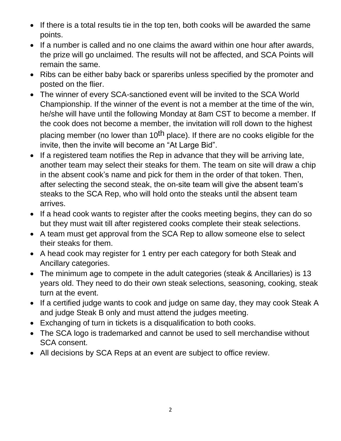- If there is a total results tie in the top ten, both cooks will be awarded the same points.
- If a number is called and no one claims the award within one hour after awards, the prize will go unclaimed. The results will not be affected, and SCA Points will remain the same.
- Ribs can be either baby back or spareribs unless specified by the promoter and posted on the flier.
- The winner of every SCA-sanctioned event will be invited to the SCA World Championship. If the winner of the event is not a member at the time of the win, he/she will have until the following Monday at 8am CST to become a member. If the cook does not become a member, the invitation will roll down to the highest placing member (no lower than 10<sup>th</sup> place). If there are no cooks eligible for the invite, then the invite will become an "At Large Bid".
- If a registered team notifies the Rep in advance that they will be arriving late, another team may select their steaks for them. The team on site will draw a chip in the absent cook's name and pick for them in the order of that token. Then, after selecting the second steak, the on-site team will give the absent team's steaks to the SCA Rep, who will hold onto the steaks until the absent team arrives.
- If a head cook wants to register after the cooks meeting begins, they can do so but they must wait till after registered cooks complete their steak selections.
- A team must get approval from the SCA Rep to allow someone else to select their steaks for them.
- A head cook may register for 1 entry per each category for both Steak and Ancillary categories.
- The minimum age to compete in the adult categories (steak & Ancillaries) is 13 years old. They need to do their own steak selections, seasoning, cooking, steak turn at the event.
- If a certified judge wants to cook and judge on same day, they may cook Steak A and judge Steak B only and must attend the judges meeting.
- Exchanging of turn in tickets is a disqualification to both cooks.
- The SCA logo is trademarked and cannot be used to sell merchandise without SCA consent.
- All decisions by SCA Reps at an event are subject to office review.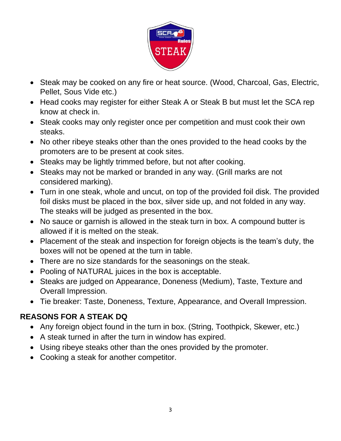

- Steak may be cooked on any fire or heat source. (Wood, Charcoal, Gas, Electric, Pellet, Sous Vide etc.)
- Head cooks may register for either Steak A or Steak B but must let the SCA rep know at check in.
- Steak cooks may only register once per competition and must cook their own steaks.
- No other ribeye steaks other than the ones provided to the head cooks by the promoters are to be present at cook sites.
- Steaks may be lightly trimmed before, but not after cooking.
- Steaks may not be marked or branded in any way. (Grill marks are not considered marking).
- Turn in one steak, whole and uncut, on top of the provided foil disk. The provided foil disks must be placed in the box, silver side up, and not folded in any way. The steaks will be judged as presented in the box.
- No sauce or garnish is allowed in the steak turn in box. A compound butter is allowed if it is melted on the steak.
- Placement of the steak and inspection for foreign objects is the team's duty, the boxes will not be opened at the turn in table.
- There are no size standards for the seasonings on the steak.
- Pooling of NATURAL juices in the box is acceptable.
- Steaks are judged on Appearance, Doneness (Medium), Taste, Texture and Overall Impression.
- Tie breaker: Taste, Doneness, Texture, Appearance, and Overall Impression.

#### **REASONS FOR A STEAK DQ**

- Any foreign object found in the turn in box. (String, Toothpick, Skewer, etc.)
- A steak turned in after the turn in window has expired.
- Using ribeye steaks other than the ones provided by the promoter.
- Cooking a steak for another competitor.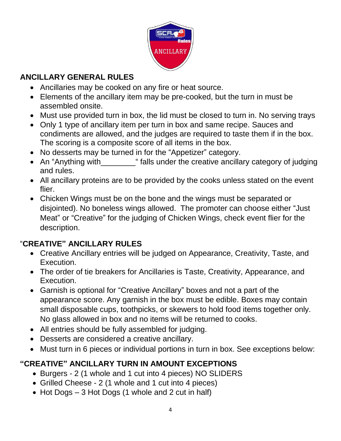

#### **ANCILLARY GENERAL RULES**

- Ancillaries may be cooked on any fire or heat source.
- Elements of the ancillary item may be pre-cooked, but the turn in must be assembled onsite.
- Must use provided turn in box, the lid must be closed to turn in. No serving trays
- Only 1 type of ancillary item per turn in box and same recipe. Sauces and condiments are allowed, and the judges are required to taste them if in the box. The scoring is a composite score of all items in the box.
- No desserts may be turned in for the "Appetizer" category.
- An "Anything with\_\_\_\_\_\_\_\_\_\_" falls under the creative ancillary category of judging and rules.
- All ancillary proteins are to be provided by the cooks unless stated on the event flier.
- Chicken Wings must be on the bone and the wings must be separated or disjointed). No boneless wings allowed. The promoter can choose either "Just Meat" or "Creative" for the judging of Chicken Wings, check event flier for the description.

#### "**CREATIVE" ANCILLARY RULES**

- Creative Ancillary entries will be judged on Appearance, Creativity, Taste, and Execution.
- The order of tie breakers for Ancillaries is Taste, Creativity, Appearance, and Execution.
- Garnish is optional for "Creative Ancillary" boxes and not a part of the appearance score. Any garnish in the box must be edible. Boxes may contain small disposable cups, toothpicks, or skewers to hold food items together only. No glass allowed in box and no items will be returned to cooks.
- All entries should be fully assembled for judging.
- Desserts are considered a creative ancillary.
- Must turn in 6 pieces or individual portions in turn in box. See exceptions below:

### **"CREATIVE" ANCILLARY TURN IN AMOUNT EXCEPTIONS**

- Burgers 2 (1 whole and 1 cut into 4 pieces) NO SLIDERS
- Grilled Cheese 2 (1 whole and 1 cut into 4 pieces)
- Hot Dogs 3 Hot Dogs (1 whole and 2 cut in half)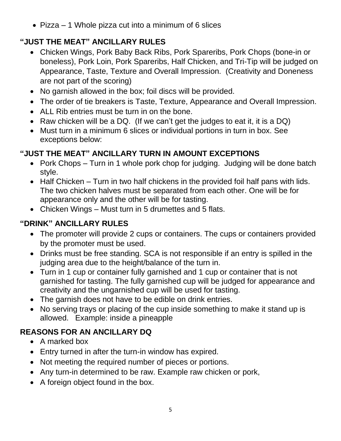• Pizza – 1 Whole pizza cut into a minimum of 6 slices

# **"JUST THE MEAT" ANCILLARY RULES**

- Chicken Wings, Pork Baby Back Ribs, Pork Spareribs, Pork Chops (bone-in or boneless), Pork Loin, Pork Spareribs, Half Chicken, and Tri-Tip will be judged on Appearance, Taste, Texture and Overall Impression. (Creativity and Doneness are not part of the scoring)
- No garnish allowed in the box; foil discs will be provided.
- The order of tie breakers is Taste, Texture, Appearance and Overall Impression.
- ALL Rib entries must be turn in on the bone.
- Raw chicken will be a DQ. (If we can't get the judges to eat it, it is a DQ)
- Must turn in a minimum 6 slices or individual portions in turn in box. See exceptions below:

# **"JUST THE MEAT" ANCILLARY TURN IN AMOUNT EXCEPTIONS**

- Pork Chops Turn in 1 whole pork chop for judging. Judging will be done batch style.
- Half Chicken Turn in two half chickens in the provided foil half pans with lids. The two chicken halves must be separated from each other. One will be for appearance only and the other will be for tasting.
- Chicken Wings Must turn in 5 drumettes and 5 flats.

# **"DRINK" ANCILLARY RULES**

- The promoter will provide 2 cups or containers. The cups or containers provided by the promoter must be used.
- Drinks must be free standing. SCA is not responsible if an entry is spilled in the judging area due to the height/balance of the turn in.
- Turn in 1 cup or container fully garnished and 1 cup or container that is not garnished for tasting. The fully garnished cup will be judged for appearance and creativity and the ungarnished cup will be used for tasting.
- The garnish does not have to be edible on drink entries.
- No serving trays or placing of the cup inside something to make it stand up is allowed. Example: inside a pineapple

# **REASONS FOR AN ANCILLARY DQ**

- A marked box
- Entry turned in after the turn-in window has expired.
- Not meeting the required number of pieces or portions.
- Any turn-in determined to be raw. Example raw chicken or pork,
- A foreign object found in the box.